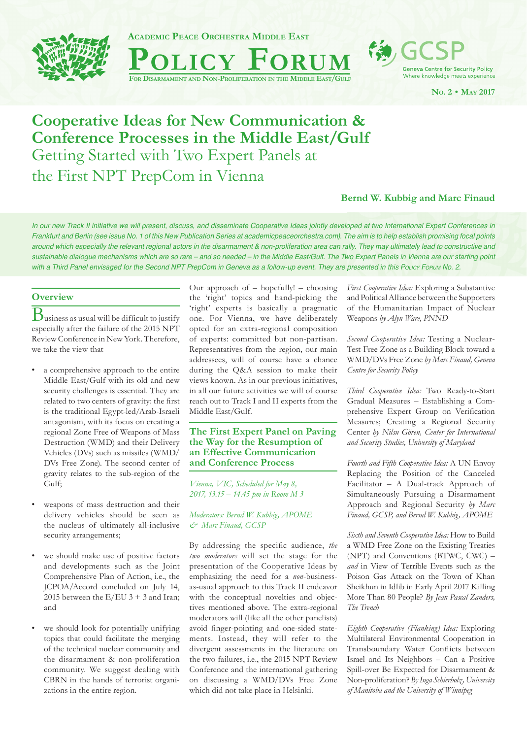



**Geneva Centre for Security Policy** Where knowledge meets experience

**NO. 2 • MAY 2017**

# **Cooperative Ideas for New Communication & Conference Processes in the Middle East/Gulf** Getting Started with Two Expert Panels at

the First NPT PrepCom in Vienna

# **Bernd W. Kubbig and Marc Finaud**

*In our new Track II initiative we will present, discuss, and disseminate Cooperative Ideas jointly developed at two International Expert Conferences in Frankfurt and Berlin (see issue No. 1 of this New Publication Series at academicpeaceorchestra.com). The aim is to help establish promising focal points*  around which especially the relevant regional actors in the disarmament & non-proliferation area can rally. They may ultimately lead to constructive and *sustainable dialogue mechanisms which are so rare – and so needed – in the Middle East/Gulf. The Two Expert Panels in Vienna are our starting point with a Third Panel envisaged for the Second NPT PrepCom in Geneva as a follow-up event. They are presented in this PoLICY FORUM No. 2.* 

## **Overview**

 $\mathrm{\mathbf{B}}_{\rm{u} \rm{s} \rm{.}}$  as usual will be difficult to justify especially after the failure of the 2015 NPT Review Conference in New York. Therefore, we take the view that

- a comprehensive approach to the entire Middle East/Gulf with its old and new security challenges is essential. They are related to two centers of gravity: the first is the traditional Egypt-led/Arab-Israeli antagonism, with its focus on creating a regional Zone Free of Weapons of Mass Destruction (WMD) and their Delivery Vehicles (DVs) such as missiles (WMD/ DVs Free Zone). The second center of gravity relates to the sub-region of the Gulf;
- weapons of mass destruction and their delivery vehicles should be seen as the nucleus of ultimately all-inclusive security arrangements;
- we should make use of positive factors and developments such as the Joint Comprehensive Plan of Action, i.e., the JCPOA/Accord concluded on July 14, 2015 between the  $E/EU$  3 + 3 and Iran; and
- we should look for potentially unifying topics that could facilitate the merging of the technical nuclear community and the disarmament & non-proliferation community. We suggest dealing with CBRN in the hands of terrorist organizations in the entire region.

Our approach of – hopefully! – choosing the 'right' topics and hand-picking the 'right' experts is basically a pragmatic one. For Vienna, we have deliberately opted for an extra-regional composition of experts: committed but non-partisan. Representatives from the region, our main addressees, will of course have a chance during the Q&A session to make their views known. As in our previous initiatives, in all our future activities we will of course reach out to Track I and II experts from the Middle East/Gulf.

### **The First Expert Panel on Paving the Way for the Resumption of an Effective Communication and Conference Process**

*Vienna, VIC, Scheduled for May 8, 2017, 13.15 – 14.45 pm in Room M 3*

#### *Moderators: Bernd W. Kubbig, APOME & Marc Finaud, GCSP*

By addressing the specific audience, the *two moderators* will set the stage for the presentation of the Cooperative Ideas by emphasizing the need for a *non*-businessas-usual approach to this Track II endeavor with the conceptual novelties and objectives mentioned above. The extra-regional moderators will (like all the other panelists) avoid finger-pointing and one-sided statements. Instead, they will refer to the divergent assessments in the literature on the two failures, i.e., the 2015 NPT Review Conference and the international gathering on discussing a WMD/DVs Free Zone which did not take place in Helsinki.

*First Cooperative Idea:* Exploring a Substantive and Political Alliance between the Supporters of the Humanitarian Impact of Nuclear Weapons *by Alyn Ware, PNND*

*Second Cooperative Idea:* Testing a Nuclear-Test-Free Zone as a Building Block toward a WMD/DVs Free Zone *by Marc Finaud, Geneva Centre for Security Policy*

*Third Cooperative Idea:* Two Ready-to-Start Gradual Measures – Establishing a Comprehensive Expert Group on Verification Measures; Creating a Regional Security Center *by Nilsu Gören, Center for International and Security Studies, University of Maryland* 

*Fourth and Fifth Cooperative Idea:* A UN Envoy Replacing the Position of the Canceled Facilitator – A Dual-track Approach of Simultaneously Pursuing a Disarmament Approach and Regional Security *by Marc Finaud, GCSP, and Bernd W. Kubbig, APOME*

*Sixth and Seventh Cooperative Idea:* How to Build a WMD Free Zone on the Existing Treaties (NPT) and Conventions (BTWC, CWC) – *and* in View of Terrible Events such as the Poison Gas Attack on the Town of Khan Sheikhun in Idlib in Early April 2017 Killing More Than 80 People? *By Jean Pascal Zanders, The Trench*

*Eighth Cooperative (Flanking) Idea:* Exploring Multilateral Environmental Cooperation in Transboundary Water Conflicts between Israel and Its Neighbors – Can a Positive Spill-over Be Expected for Disarmament & Non-proliferation? *By Inga Schierholz, University of Manitoba and the University of Winnipeg*